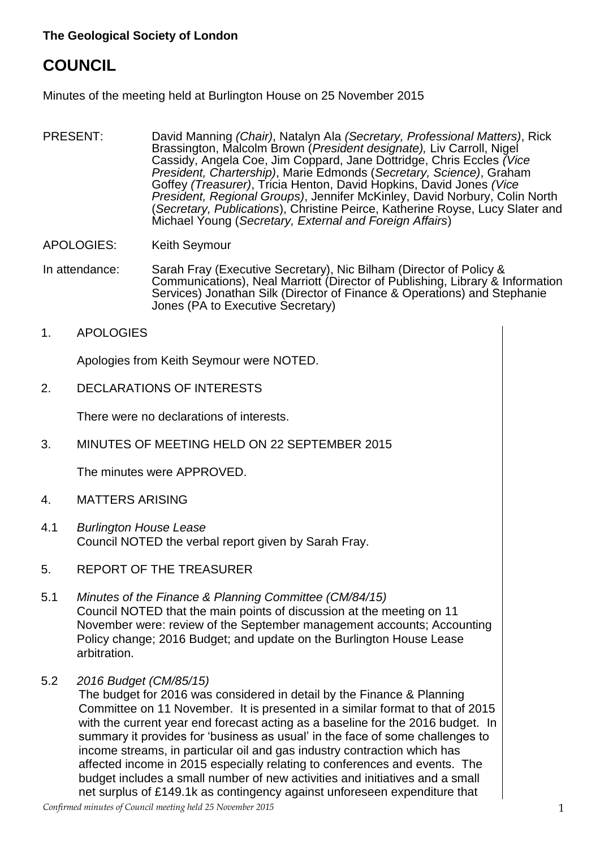# **COUNCIL**

Minutes of the meeting held at Burlington House on 25 November 2015

- PRESENT: David Manning *(Chair)*, Natalyn Ala *(Secretary, Professional Matters)*, Rick Brassington, Malcolm Brown (*President designate),* Liv Carroll, Nigel Cassidy, Angela Coe, Jim Coppard, Jane Dottridge, Chris Eccles *(Vice President, Chartership)*, Marie Edmonds (*Secretary, Science)*, Graham Goffey *(Treasurer)*, Tricia Henton, David Hopkins, David Jones *(Vice President, Regional Groups)*, Jennifer McKinley, David Norbury, Colin North (*Secretary, Publications*), Christine Peirce, Katherine Royse, Lucy Slater and Michael Young (*Secretary, External and Foreign Affairs*)
- APOLOGIES: Keith Seymour
- In attendance: Sarah Fray (Executive Secretary), Nic Bilham (Director of Policy & Communications), Neal Marriott (Director of Publishing, Library & Information Services) Jonathan Silk (Director of Finance & Operations) and Stephanie Jones (PA to Executive Secretary)
- 1. APOLOGIES

Apologies from Keith Seymour were NOTED.

2. DECLARATIONS OF INTERESTS

There were no declarations of interests.

3. MINUTES OF MEETING HELD ON 22 SEPTEMBER 2015

The minutes were APPROVED.

- 4. MATTERS ARISING
- 4.1 *Burlington House Lease* Council NOTED the verbal report given by Sarah Fray.
- 5. REPORT OF THE TREASURER
- 5.1 *Minutes of the Finance & Planning Committee (CM/84/15)* Council NOTED that the main points of discussion at the meeting on 11 November were: review of the September management accounts; Accounting Policy change; 2016 Budget; and update on the Burlington House Lease arbitration.
- 5.2 *2016 Budget (CM/85/15)*

The budget for 2016 was considered in detail by the Finance & Planning Committee on 11 November. It is presented in a similar format to that of 2015 with the current year end forecast acting as a baseline for the 2016 budget. In summary it provides for 'business as usual' in the face of some challenges to income streams, in particular oil and gas industry contraction which has affected income in 2015 especially relating to conferences and events. The budget includes a small number of new activities and initiatives and a small net surplus of £149.1k as contingency against unforeseen expenditure that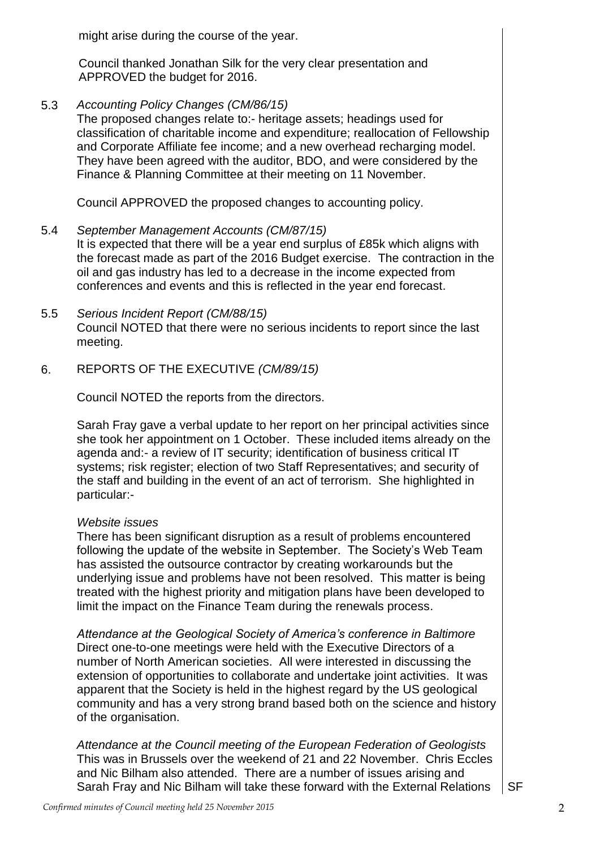might arise during the course of the year.

Council thanked Jonathan Silk for the very clear presentation and APPROVED the budget for 2016.

5.3 *Accounting Policy Changes (CM/86/15)*

The proposed changes relate to:- heritage assets; headings used for classification of charitable income and expenditure; reallocation of Fellowship and Corporate Affiliate fee income; and a new overhead recharging model. They have been agreed with the auditor, BDO, and were considered by the Finance & Planning Committee at their meeting on 11 November.

Council APPROVED the proposed changes to accounting policy.

- 5.4 *September Management Accounts (CM/87/15)* It is expected that there will be a year end surplus of £85k which aligns with the forecast made as part of the 2016 Budget exercise. The contraction in the oil and gas industry has led to a decrease in the income expected from conferences and events and this is reflected in the year end forecast.
- 5.5 *Serious Incident Report (CM/88/15)* Council NOTED that there were no serious incidents to report since the last meeting.
- 6. REPORTS OF THE EXECUTIVE *(CM/89/15)*

Council NOTED the reports from the directors.

Sarah Fray gave a verbal update to her report on her principal activities since she took her appointment on 1 October. These included items already on the agenda and:- a review of IT security; identification of business critical IT systems; risk register; election of two Staff Representatives; and security of the staff and building in the event of an act of terrorism. She highlighted in particular:-

#### *Website issues*

There has been significant disruption as a result of problems encountered following the update of the website in September. The Society's Web Team has assisted the outsource contractor by creating workarounds but the underlying issue and problems have not been resolved. This matter is being treated with the highest priority and mitigation plans have been developed to limit the impact on the Finance Team during the renewals process.

*Attendance at the Geological Society of America's conference in Baltimore* Direct one-to-one meetings were held with the Executive Directors of a number of North American societies. All were interested in discussing the extension of opportunities to collaborate and undertake joint activities. It was apparent that the Society is held in the highest regard by the US geological community and has a very strong brand based both on the science and history of the organisation.

*Attendance at the Council meeting of the European Federation of Geologists* This was in Brussels over the weekend of 21 and 22 November. Chris Eccles and Nic Bilham also attended. There are a number of issues arising and Sarah Fray and Nic Bilham will take these forward with the External Relations  $\parallel$  SF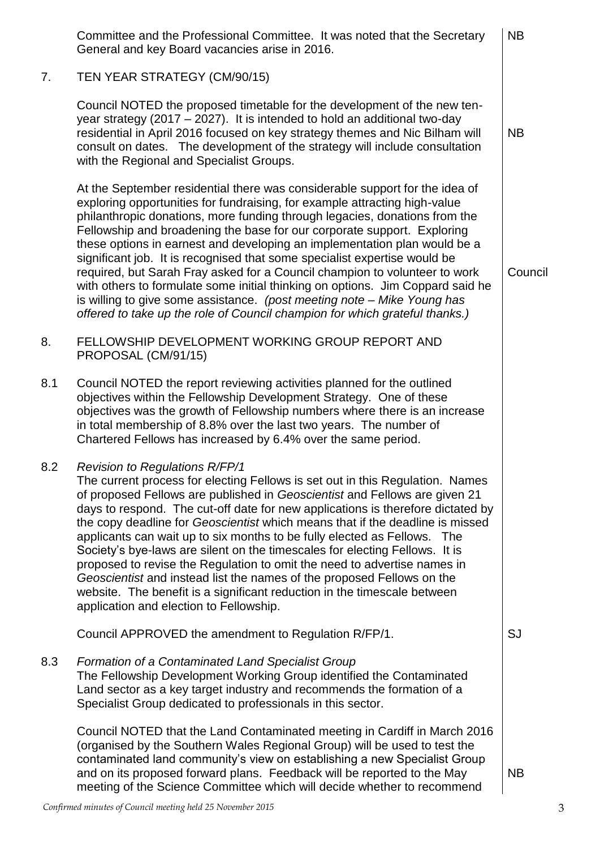|     | Committee and the Professional Committee. It was noted that the Secretary<br>General and key Board vacancies arise in 2016.                                                                                                                                                                                                                                                                                                                                                                                                                                                                                                                                                                                                                                                                                      | <b>NB</b> |  |
|-----|------------------------------------------------------------------------------------------------------------------------------------------------------------------------------------------------------------------------------------------------------------------------------------------------------------------------------------------------------------------------------------------------------------------------------------------------------------------------------------------------------------------------------------------------------------------------------------------------------------------------------------------------------------------------------------------------------------------------------------------------------------------------------------------------------------------|-----------|--|
| 7.  | TEN YEAR STRATEGY (CM/90/15)                                                                                                                                                                                                                                                                                                                                                                                                                                                                                                                                                                                                                                                                                                                                                                                     |           |  |
|     | Council NOTED the proposed timetable for the development of the new ten-<br>year strategy (2017 – 2027). It is intended to hold an additional two-day<br>residential in April 2016 focused on key strategy themes and Nic Bilham will<br>consult on dates. The development of the strategy will include consultation<br>with the Regional and Specialist Groups.                                                                                                                                                                                                                                                                                                                                                                                                                                                 | <b>NB</b> |  |
|     | At the September residential there was considerable support for the idea of<br>exploring opportunities for fundraising, for example attracting high-value<br>philanthropic donations, more funding through legacies, donations from the<br>Fellowship and broadening the base for our corporate support. Exploring<br>these options in earnest and developing an implementation plan would be a<br>significant job. It is recognised that some specialist expertise would be<br>required, but Sarah Fray asked for a Council champion to volunteer to work<br>with others to formulate some initial thinking on options. Jim Coppard said he<br>is willing to give some assistance. (post meeting note - Mike Young has<br>offered to take up the role of Council champion for which grateful thanks.)           | Council   |  |
| 8.  | FELLOWSHIP DEVELOPMENT WORKING GROUP REPORT AND<br>PROPOSAL (CM/91/15)                                                                                                                                                                                                                                                                                                                                                                                                                                                                                                                                                                                                                                                                                                                                           |           |  |
| 8.1 | Council NOTED the report reviewing activities planned for the outlined<br>objectives within the Fellowship Development Strategy. One of these<br>objectives was the growth of Fellowship numbers where there is an increase<br>in total membership of 8.8% over the last two years. The number of<br>Chartered Fellows has increased by 6.4% over the same period.                                                                                                                                                                                                                                                                                                                                                                                                                                               |           |  |
| 8.2 | <b>Revision to Regulations R/FP/1</b><br>The current process for electing Fellows is set out in this Regulation. Names<br>of proposed Fellows are published in Geoscientist and Fellows are given 21<br>days to respond. The cut-off date for new applications is therefore dictated by<br>the copy deadline for Geoscientist which means that if the deadline is missed<br>applicants can wait up to six months to be fully elected as Fellows. The<br>Society's bye-laws are silent on the timescales for electing Fellows. It is<br>proposed to revise the Regulation to omit the need to advertise names in<br>Geoscientist and instead list the names of the proposed Fellows on the<br>website. The benefit is a significant reduction in the timescale between<br>application and election to Fellowship. |           |  |
|     | Council APPROVED the amendment to Regulation R/FP/1.                                                                                                                                                                                                                                                                                                                                                                                                                                                                                                                                                                                                                                                                                                                                                             | <b>SJ</b> |  |
| 8.3 | <b>Formation of a Contaminated Land Specialist Group</b><br>The Fellowship Development Working Group identified the Contaminated<br>Land sector as a key target industry and recommends the formation of a<br>Specialist Group dedicated to professionals in this sector.                                                                                                                                                                                                                                                                                                                                                                                                                                                                                                                                        |           |  |
|     | Council NOTED that the Land Contaminated meeting in Cardiff in March 2016<br>(organised by the Southern Wales Regional Group) will be used to test the<br>contaminated land community's view on establishing a new Specialist Group<br>and on its proposed forward plans. Feedback will be reported to the May<br>meeting of the Science Committee which will decide whether to recommend                                                                                                                                                                                                                                                                                                                                                                                                                        | <b>NB</b> |  |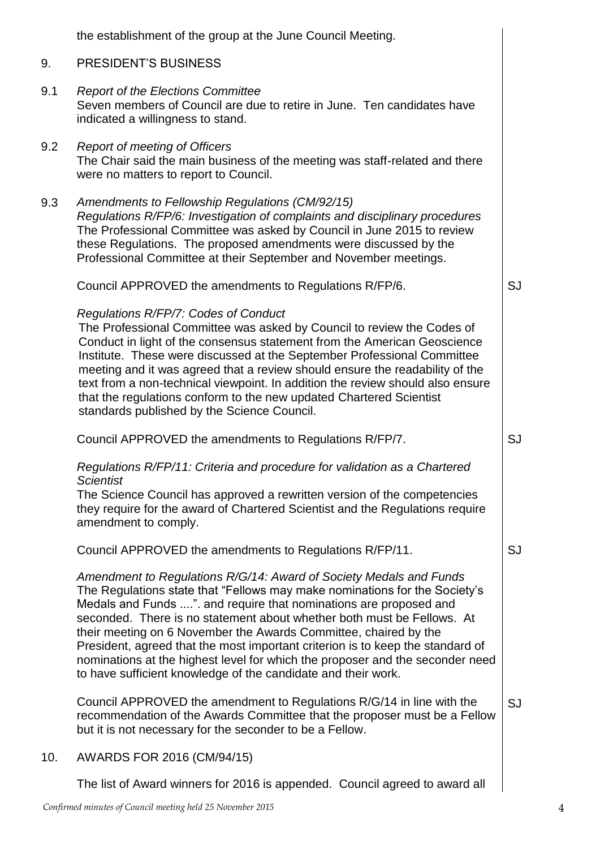|     | the establishment of the group at the June Council Meeting.                                                                                                                                                                                                                                                                                                                                                                                                                                                                                                                                             |    |  |
|-----|---------------------------------------------------------------------------------------------------------------------------------------------------------------------------------------------------------------------------------------------------------------------------------------------------------------------------------------------------------------------------------------------------------------------------------------------------------------------------------------------------------------------------------------------------------------------------------------------------------|----|--|
| 9.  | PRESIDENT'S BUSINESS                                                                                                                                                                                                                                                                                                                                                                                                                                                                                                                                                                                    |    |  |
| 9.1 | <b>Report of the Elections Committee</b><br>Seven members of Council are due to retire in June. Ten candidates have<br>indicated a willingness to stand.                                                                                                                                                                                                                                                                                                                                                                                                                                                |    |  |
| 9.2 | <b>Report of meeting of Officers</b><br>The Chair said the main business of the meeting was staff-related and there<br>were no matters to report to Council.                                                                                                                                                                                                                                                                                                                                                                                                                                            |    |  |
| 9.3 | Amendments to Fellowship Regulations (CM/92/15)<br>Regulations R/FP/6: Investigation of complaints and disciplinary procedures<br>The Professional Committee was asked by Council in June 2015 to review<br>these Regulations. The proposed amendments were discussed by the<br>Professional Committee at their September and November meetings.                                                                                                                                                                                                                                                        |    |  |
|     | Council APPROVED the amendments to Regulations R/FP/6.                                                                                                                                                                                                                                                                                                                                                                                                                                                                                                                                                  | SJ |  |
|     | Regulations R/FP/7: Codes of Conduct<br>The Professional Committee was asked by Council to review the Codes of<br>Conduct in light of the consensus statement from the American Geoscience<br>Institute. These were discussed at the September Professional Committee<br>meeting and it was agreed that a review should ensure the readability of the<br>text from a non-technical viewpoint. In addition the review should also ensure<br>that the regulations conform to the new updated Chartered Scientist<br>standards published by the Science Council.                                           |    |  |
|     | Council APPROVED the amendments to Regulations R/FP/7.                                                                                                                                                                                                                                                                                                                                                                                                                                                                                                                                                  | SJ |  |
|     | Regulations R/FP/11: Criteria and procedure for validation as a Chartered<br><b>Scientist</b><br>The Science Council has approved a rewritten version of the competencies<br>they require for the award of Chartered Scientist and the Regulations require<br>amendment to comply.                                                                                                                                                                                                                                                                                                                      |    |  |
|     | Council APPROVED the amendments to Regulations R/FP/11.                                                                                                                                                                                                                                                                                                                                                                                                                                                                                                                                                 | SJ |  |
|     | Amendment to Regulations R/G/14: Award of Society Medals and Funds<br>The Regulations state that "Fellows may make nominations for the Society's<br>Medals and Funds ". and require that nominations are proposed and<br>seconded. There is no statement about whether both must be Fellows. At<br>their meeting on 6 November the Awards Committee, chaired by the<br>President, agreed that the most important criterion is to keep the standard of<br>nominations at the highest level for which the proposer and the seconder need<br>to have sufficient knowledge of the candidate and their work. |    |  |
|     | Council APPROVED the amendment to Regulations R/G/14 in line with the<br>recommendation of the Awards Committee that the proposer must be a Fellow<br>but it is not necessary for the seconder to be a Fellow.                                                                                                                                                                                                                                                                                                                                                                                          | SJ |  |
| 10. | AWARDS FOR 2016 (CM/94/15)                                                                                                                                                                                                                                                                                                                                                                                                                                                                                                                                                                              |    |  |
|     | The list of Award winners for 2016 is appended. Council agreed to award all                                                                                                                                                                                                                                                                                                                                                                                                                                                                                                                             |    |  |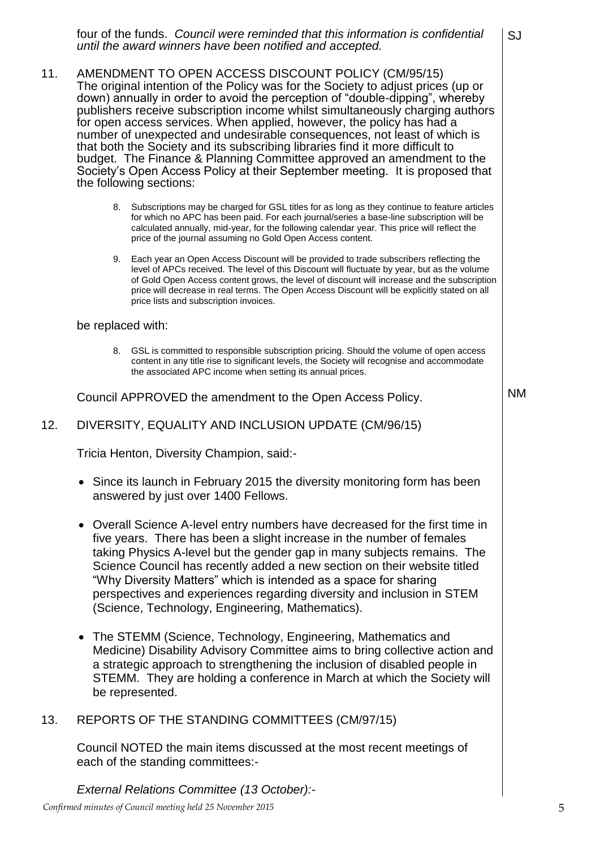four of the funds. *Council were reminded that this information is confidential until the award winners have been notified and accepted.* SJ

- 11. AMENDMENT TO OPEN ACCESS DISCOUNT POLICY (CM/95/15) The original intention of the Policy was for the Society to adjust prices (up or down) annually in order to avoid the perception of "double-dipping", whereby publishers receive subscription income whilst simultaneously charging authors for open access services. When applied, however, the policy has had a number of unexpected and undesirable consequences, not least of which is that both the Society and its subscribing libraries find it more difficult to budget. The Finance & Planning Committee approved an amendment to the Society's Open Access Policy at their September meeting. It is proposed that the following sections:
	- 8. Subscriptions may be charged for GSL titles for as long as they continue to feature articles for which no APC has been paid. For each journal/series a base-line subscription will be calculated annually, mid-year, for the following calendar year. This price will reflect the price of the journal assuming no Gold Open Access content.
	- 9. Each year an Open Access Discount will be provided to trade subscribers reflecting the level of APCs received. The level of this Discount will fluctuate by year, but as the volume of Gold Open Access content grows, the level of discount will increase and the subscription price will decrease in real terms. The Open Access Discount will be explicitly stated on all price lists and subscription invoices.

#### be replaced with:

8. GSL is committed to responsible subscription pricing. Should the volume of open access content in any title rise to significant levels, the Society will recognise and accommodate the associated APC income when setting its annual prices.

Council APPROVED the amendment to the Open Access Policy.

### 12. DIVERSITY, EQUALITY AND INCLUSION UPDATE (CM/96/15)

Tricia Henton, Diversity Champion, said:-

- Since its launch in February 2015 the diversity monitoring form has been answered by just over 1400 Fellows.
- Overall Science A-level entry numbers have decreased for the first time in five years. There has been a slight increase in the number of females taking Physics A-level but the gender gap in many subjects remains. The Science Council has recently added a new section on their website titled "Why Diversity Matters" which is intended as a space for sharing perspectives and experiences regarding diversity and inclusion in STEM (Science, Technology, Engineering, Mathematics).
- The STEMM (Science, Technology, Engineering, Mathematics and Medicine) Disability Advisory Committee aims to bring collective action and a strategic approach to strengthening the inclusion of disabled people in STEMM. They are holding a conference in March at which the Society will be represented.

#### 13. REPORTS OF THE STANDING COMMITTEES (CM/97/15)

Council NOTED the main items discussed at the most recent meetings of each of the standing committees:-

*External Relations Committee (13 October):-*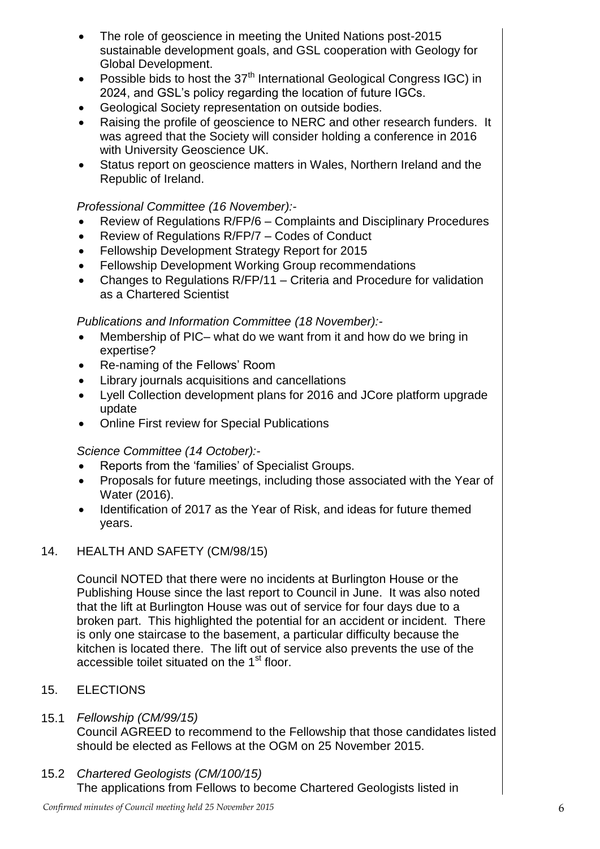- The role of geoscience in meeting the United Nations post-2015 sustainable development goals, and GSL cooperation with Geology for Global Development.
- Possible bids to host the  $37<sup>th</sup>$  International Geological Congress IGC) in 2024, and GSL's policy regarding the location of future IGCs.
- Geological Society representation on outside bodies.
- Raising the profile of geoscience to NERC and other research funders. It was agreed that the Society will consider holding a conference in 2016 with University Geoscience UK.
- Status report on geoscience matters in Wales, Northern Ireland and the Republic of Ireland.

# *Professional Committee (16 November):-*

- Review of Regulations R/FP/6 Complaints and Disciplinary Procedures
- Review of Regulations R/FP/7 Codes of Conduct
- Fellowship Development Strategy Report for 2015
- Fellowship Development Working Group recommendations
- Changes to Regulations R/FP/11 Criteria and Procedure for validation as a Chartered Scientist

# *Publications and Information Committee (18 November):-*

- Membership of PIC– what do we want from it and how do we bring in expertise?
- Re-naming of the Fellows' Room
- Library journals acquisitions and cancellations
- Lyell Collection development plans for 2016 and JCore platform upgrade update
- Online First review for Special Publications

# *Science Committee (14 October):-*

- Reports from the 'families' of Specialist Groups.
- Proposals for future meetings, including those associated with the Year of Water (2016).
- Identification of 2017 as the Year of Risk, and ideas for future themed years.

# 14. HEALTH AND SAFETY (CM/98/15)

Council NOTED that there were no incidents at Burlington House or the Publishing House since the last report to Council in June. It was also noted that the lift at Burlington House was out of service for four days due to a broken part. This highlighted the potential for an accident or incident. There is only one staircase to the basement, a particular difficulty because the kitchen is located there. The lift out of service also prevents the use of the accessible toilet situated on the 1<sup>st</sup> floor.

#### 15. **ELECTIONS**

#### 15.1 *Fellowship (CM/99/15)*

Council AGREED to recommend to the Fellowship that those candidates listed should be elected as Fellows at the OGM on 25 November 2015.

15.2 *Chartered Geologists (CM/100/15)* The applications from Fellows to become Chartered Geologists listed in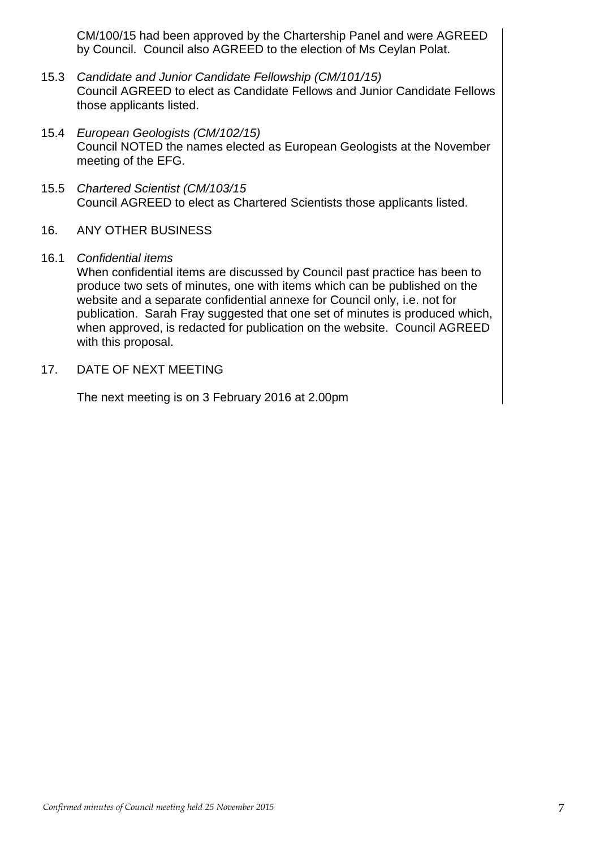CM/100/15 had been approved by the Chartership Panel and were AGREED by Council. Council also AGREED to the election of Ms Ceylan Polat.

- 15.3 *Candidate and Junior Candidate Fellowship (CM/101/15)* Council AGREED to elect as Candidate Fellows and Junior Candidate Fellows those applicants listed.
- 15.4 *European Geologists (CM/102/15)* Council NOTED the names elected as European Geologists at the November meeting of the EFG.
- 15.5 *Chartered Scientist (CM/103/15* Council AGREED to elect as Chartered Scientists those applicants listed.

#### 16. ANY OTHER BUSINESS

### 16.1 *Confidential items*

When confidential items are discussed by Council past practice has been to produce two sets of minutes, one with items which can be published on the website and a separate confidential annexe for Council only, i.e. not for publication. Sarah Fray suggested that one set of minutes is produced which, when approved, is redacted for publication on the website. Council AGREED with this proposal.

17. DATE OF NEXT MEETING

The next meeting is on 3 February 2016 at 2.00pm